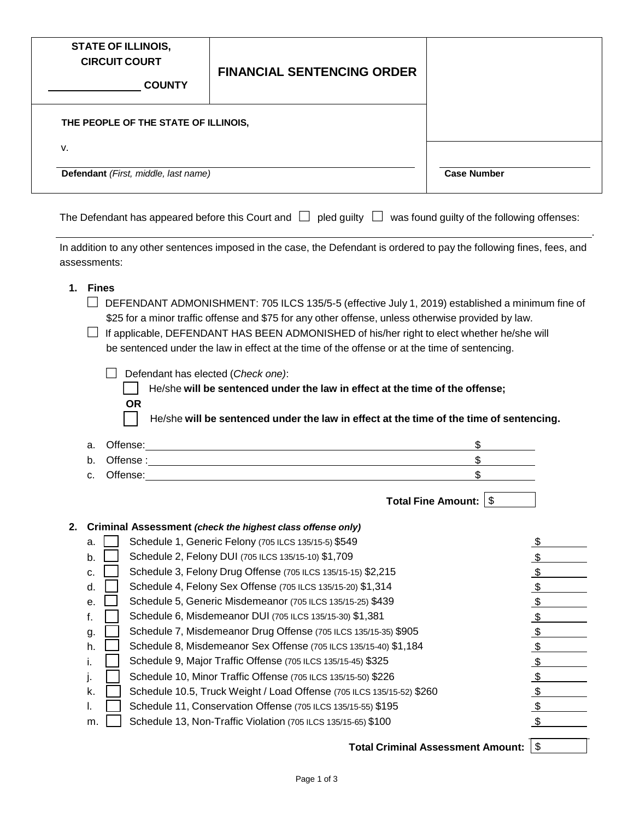| <b>STATE OF ILLINOIS,</b><br><b>CIRCUIT COURT</b><br><b>COUNTY</b> | <b>FINANCIAL SENTENCING ORDER</b>    |  |  |
|--------------------------------------------------------------------|--------------------------------------|--|--|
|                                                                    | THE PEOPLE OF THE STATE OF ILLINOIS, |  |  |
| v.                                                                 |                                      |  |  |
|                                                                    | Defendant (First, middle, last name) |  |  |
|                                                                    |                                      |  |  |

The Defendant has appeared before this Court and  $\Box$  pled guilty  $\Box$  was found guilty of the following offenses: .

In addition to any other sentences imposed in the case, the Defendant is ordered to pay the following fines, fees, and assessments:

- **1. Fines**
	- $\Box$  DEFENDANT ADMONISHMENT: 705 ILCS 135/5-5 (effective July 1, 2019) established a minimum fine of \$25 for a minor traffic offense and \$75 for any other offense, unless otherwise provided by law.
	- $\Box$  If applicable, DEFENDANT HAS BEEN ADMONISHED of his/her right to elect whether he/she will be sentenced under the law in effect at the time of the offense or at the time of sentencing.
		- Defendant has elected (*Check one)*:
			- He/she **will be sentenced under the law in effect at the time of the offense; OR**

He/she **will be sentenced under the law in effect at the time of the time of sentencing.**

|    | a. | Offense: <u>with the contract of the contract of</u><br>\$            |                           |
|----|----|-----------------------------------------------------------------------|---------------------------|
|    | b. |                                                                       |                           |
|    | c. | Offense:                                                              |                           |
|    |    | \$<br><b>Total Fine Amount:</b>                                       |                           |
| 2. |    | Criminal Assessment (check the highest class offense only)            |                           |
|    | a. | Schedule 1, Generic Felony (705 ILCS 135/15-5) \$549                  | \$                        |
|    | b. | Schedule 2, Felony DUI (705 ILCS 135/15-10) \$1,709                   | \$                        |
|    | C. | Schedule 3, Felony Drug Offense (705 ILCS 135/15-15) \$2,215          | $\frac{1}{2}$             |
|    | d. | Schedule 4, Felony Sex Offense (705 ILCS 135/15-20) \$1,314           | $\frac{1}{2}$             |
|    | е. | Schedule 5, Generic Misdemeanor (705 ILCS 135/15-25) \$439            | $\frac{1}{2}$             |
|    | f. | Schedule 6, Misdemeanor DUI (705 ILCS 135/15-30) \$1,381              | $\frac{1}{2}$             |
|    | g. | Schedule 7, Misdemeanor Drug Offense (705 ILCS 135/15-35) \$905       | \$                        |
|    | h. | Schedule 8, Misdemeanor Sex Offense (705 ILCS 135/15-40) \$1,184      | \$                        |
|    |    | Schedule 9, Major Traffic Offense (705 ILCS 135/15-45) \$325          | $\boldsymbol{\mathsf{S}}$ |
|    |    | Schedule 10, Minor Traffic Offense (705 ILCS 135/15-50) \$226         | \$                        |
|    | k. | Schedule 10.5, Truck Weight / Load Offense (705 ILCS 135/15-52) \$260 | \$                        |
|    |    | Schedule 11, Conservation Offense (705 ILCS 135/15-55) \$195          | \$                        |
|    | m. | Schedule 13, Non-Traffic Violation (705 ILCS 135/15-65) \$100         |                           |
|    |    |                                                                       |                           |

\$ **Total Criminal Assessment Amount:**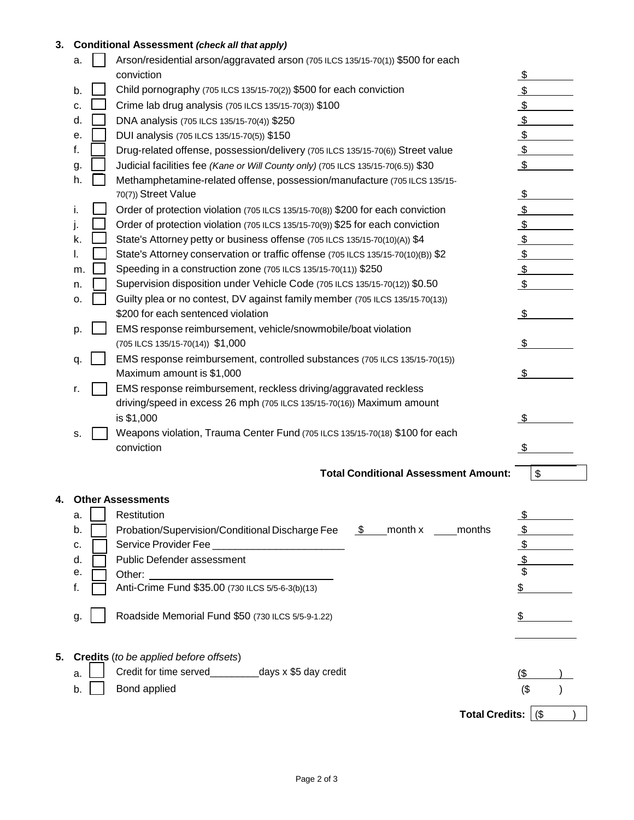## **3. Conditional Assessment** *(check all that apply)*

|    | a. |                                                                              | Credit for time served<br>days x \$5 day credit                                                                    | $($ \$              |
|----|----|------------------------------------------------------------------------------|--------------------------------------------------------------------------------------------------------------------|---------------------|
| 5. |    |                                                                              | <b>Credits</b> (to be applied before offsets)                                                                      |                     |
|    | g. |                                                                              | Roadside Memorial Fund \$50 (730 ILCS 5/5-9-1.22)                                                                  | \$                  |
|    | f. |                                                                              | Anti-Crime Fund \$35.00 (730 ILCS 5/5-6-3(b)(13)                                                                   |                     |
|    | е. |                                                                              | Other:                                                                                                             |                     |
|    | d. |                                                                              | Public Defender assessment                                                                                         | $\frac{1}{2}$<br>\$ |
|    | c. |                                                                              | Service Provider Fee ___________________________                                                                   | $\frac{1}{2}$       |
|    | b. |                                                                              | \$ month x months<br>Probation/Supervision/Conditional Discharge Fee                                               | $\mathfrak{L}$      |
|    | a. |                                                                              | Restitution                                                                                                        | $\frac{1}{2}$       |
| 4. |    |                                                                              | <b>Other Assessments</b>                                                                                           |                     |
|    |    |                                                                              |                                                                                                                    |                     |
|    |    |                                                                              | <b>Total Conditional Assessment Amount:</b>                                                                        | \$                  |
|    |    |                                                                              | conviction                                                                                                         | \$                  |
|    | s. | Weapons violation, Trauma Center Fund (705 ILCS 135/15-70(18) \$100 for each |                                                                                                                    |                     |
|    |    |                                                                              | is \$1,000                                                                                                         | \$                  |
|    |    |                                                                              | driving/speed in excess 26 mph (705 ILCS 135/15-70(16)) Maximum amount                                             |                     |
|    | r. |                                                                              | EMS response reimbursement, reckless driving/aggravated reckless                                                   |                     |
|    |    |                                                                              | Maximum amount is \$1,000                                                                                          | - \$                |
|    | q. |                                                                              | EMS response reimbursement, controlled substances (705 ILCS 135/15-70(15))                                         |                     |
|    |    |                                                                              | (705 ILCS 135/15-70(14)) \$1,000                                                                                   | \$                  |
|    | p. |                                                                              | EMS response reimbursement, vehicle/snowmobile/boat violation                                                      |                     |
|    | о. |                                                                              | Guilty plea or no contest, DV against family member (705 ILCS 135/15-70(13))<br>\$200 for each sentenced violation | \$                  |
|    | n. |                                                                              | Supervision disposition under Vehicle Code (705 ILCS 135/15-70(12)) \$0.50                                         | $\frac{1}{2}$       |
|    | m. |                                                                              | Speeding in a construction zone (705 ILCS 135/15-70(11)) \$250                                                     | $\frac{1}{2}$       |
|    | I. |                                                                              | State's Attorney conservation or traffic offense (705 ILCS 135/15-70(10)(B)) \$2                                   | $\frac{1}{2}$       |
|    | k. |                                                                              | State's Attorney petty or business offense (705 ILCS 135/15-70(10)(A)) \$4                                         | $\frac{1}{2}$       |
|    |    |                                                                              | Order of protection violation (705 ILCS 135/15-70(9)) \$25 for each conviction                                     | $\frac{1}{2}$       |
|    | ı. |                                                                              | Order of protection violation (705 ILCS 135/15-70(8)) \$200 for each conviction                                    | $\frac{1}{2}$       |
|    |    |                                                                              | 70(7)) Street Value                                                                                                | $\frac{1}{2}$       |
|    | h. |                                                                              | Methamphetamine-related offense, possession/manufacture (705 ILCS 135/15-                                          |                     |
|    | g. |                                                                              | Judicial facilities fee (Kane or Will County only) (705 ILCS 135/15-70(6.5)) \$30                                  | \$                  |
|    | f. |                                                                              | Drug-related offense, possession/delivery (705 ILCS 135/15-70(6)) Street value                                     | $\frac{1}{2}$       |
|    | е. |                                                                              | DUI analysis (705 ILCS 135/15-70(5)) \$150                                                                         | $\frac{1}{2}$       |
|    | d. |                                                                              | DNA analysis (705 ILCS 135/15-70(4)) \$250                                                                         | $\frac{1}{2}$       |
|    | c. |                                                                              | Crime lab drug analysis (705 ILCS 135/15-70(3)) \$100                                                              | $\frac{1}{2}$       |
|    | b. |                                                                              | Child pornography (705 ILCS 135/15-70(2)) \$500 for each conviction                                                | $\frac{1}{2}$       |
|    |    |                                                                              | conviction                                                                                                         | $\mathfrak{L}$      |
|    | a. |                                                                              | Arson/residential arson/aggravated arson (705 ILCS 135/15-70(1)) \$500 for each                                    |                     |
|    |    |                                                                              | lulluollai Assessilleilt (check all tilat apply)                                                                   |                     |

|  | $b.$ Bond applied | $(S^{\circ})$ |  |
|--|-------------------|---------------|--|
|  |                   |               |  |

Total Credits:  $($ \$ )